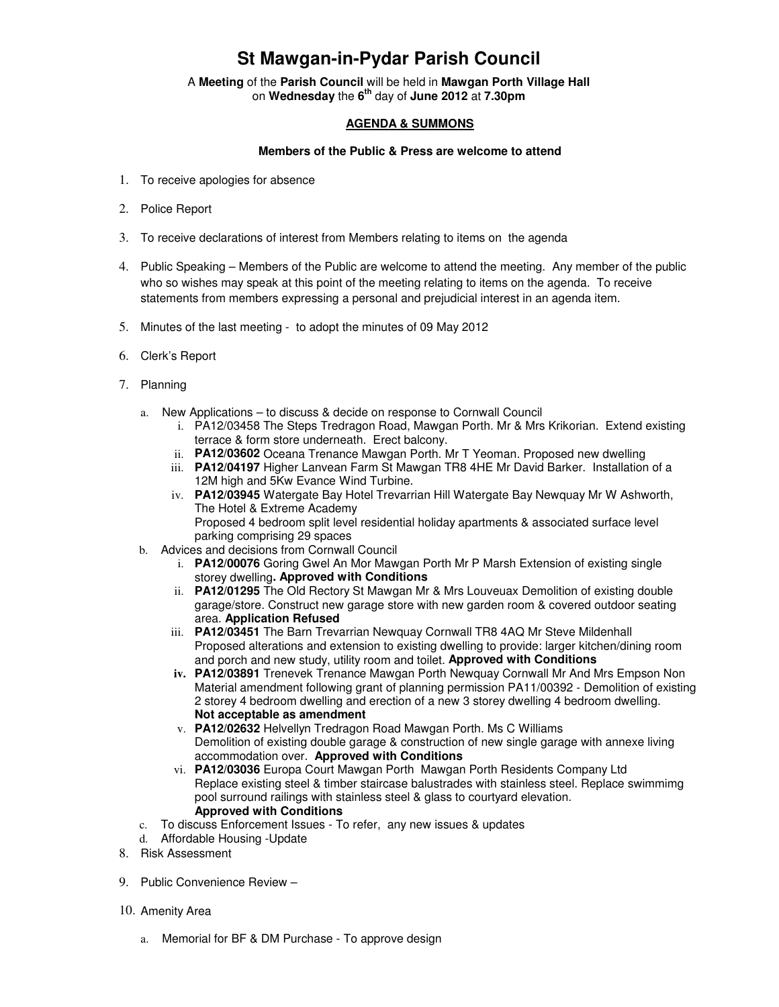## **St Mawgan-in-Pydar Parish Council**

A **Meeting** of the **Parish Council** will be held in **Mawgan Porth Village Hall** on **Wednesday** the **6th** day of **June 2012** at **7.30pm** 

## **AGENDA & SUMMONS**

## **Members of the Public & Press are welcome to attend**

- 1. To receive apologies for absence
- 2. Police Report
- 3. To receive declarations of interest from Members relating to items on the agenda
- 4. Public Speaking Members of the Public are welcome to attend the meeting. Any member of the public who so wishes may speak at this point of the meeting relating to items on the agenda. To receive statements from members expressing a personal and prejudicial interest in an agenda item.
- 5. Minutes of the last meeting to adopt the minutes of 09 May 2012
- 6. Clerk's Report
- 7. Planning
	- a. New Applications to discuss & decide on response to Cornwall Council
		- i. PA12/03458 The Steps Tredragon Road, Mawgan Porth. Mr & Mrs Krikorian. Extend existing terrace & form store underneath. Erect balcony.
		- ii. **PA12/03602** Oceana Trenance Mawgan Porth. Mr T Yeoman. Proposed new dwelling
		- iii. **PA12/04197** Higher Lanvean Farm St Mawgan TR8 4HE Mr David Barker. Installation of a 12M high and 5Kw Evance Wind Turbine.
		- iv. **PA12/03945** Watergate Bay Hotel Trevarrian Hill Watergate Bay Newquay Mr W Ashworth, The Hotel & Extreme Academy Proposed 4 bedroom split level residential holiday apartments & associated surface level parking comprising 29 spaces
	- b. Advices and decisions from Cornwall Council
		- i. **PA12/00076** Goring Gwel An Mor Mawgan Porth Mr P Marsh Extension of existing single storey dwelling**. Approved with Conditions**
		- ii. **PA12/01295** The Old Rectory St Mawgan Mr & Mrs Louveuax Demolition of existing double garage/store. Construct new garage store with new garden room & covered outdoor seating area. **Application Refused**
		- iii. **PA12/03451** The Barn Trevarrian Newquay Cornwall TR8 4AQ Mr Steve Mildenhall Proposed alterations and extension to existing dwelling to provide: larger kitchen/dining room and porch and new study, utility room and toilet. **Approved with Conditions**
		- **iv. PA12/03891** Trenevek Trenance Mawgan Porth Newquay Cornwall Mr And Mrs Empson Non Material amendment following grant of planning permission PA11/00392 - Demolition of existing 2 storey 4 bedroom dwelling and erection of a new 3 storey dwelling 4 bedroom dwelling. **Not acceptable as amendment**
		- v. **PA12/02632** Helvellyn Tredragon Road Mawgan Porth. Ms C Williams Demolition of existing double garage & construction of new single garage with annexe living accommodation over. **Approved with Conditions**
		- vi. **PA12/03036** Europa Court Mawgan Porth Mawgan Porth Residents Company Ltd Replace existing steel & timber staircase balustrades with stainless steel. Replace swimmimg pool surround railings with stainless steel & glass to courtyard elevation. **Approved with Conditions**
	- c. To discuss Enforcement Issues To refer, any new issues & updates
	- d. Affordable Housing -Update
- 8. Risk Assessment
- 9. Public Convenience Review –
- 10. Amenity Area
	- a. Memorial for BF & DM Purchase To approve design